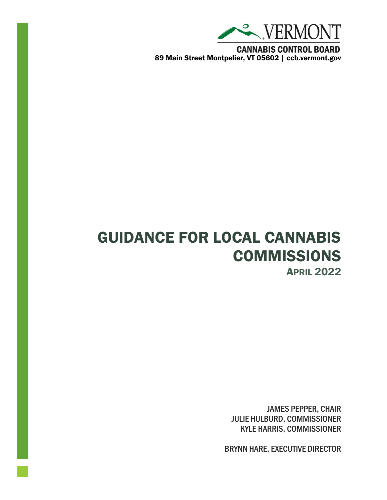

**CANNABIS CONTROL BOARD** 89 Main Street Montpelier, VT 05602 | ccb.vermont.gov

# GUIDANCE FOR LOCAL CANNABIS **COMMISSIONS** APRIL 2022

JAMES PEPPER, CHAIR JULIE HULBURD, COMMISSIONER KYLE HARRIS, COMMISSIONER

BRYNN HARE, EXECUTIVE DIRECTOR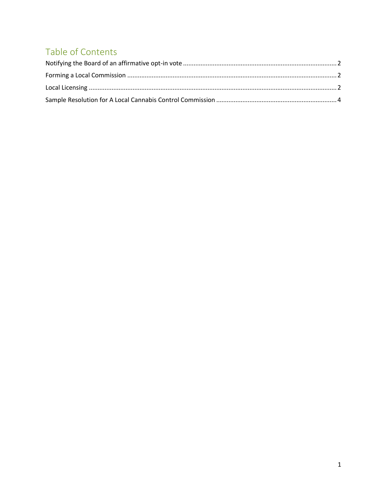# Table of Contents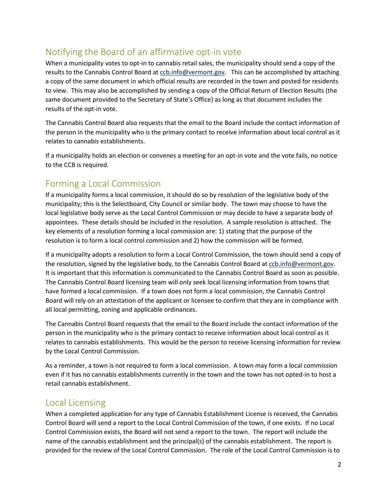## <span id="page-2-0"></span>Notifying the Board of an affirmative opt-in vote

When a municipality votes to opt-in to cannabis retail sales, the municipality should send a copy of the results to the Cannabis Control Board at [ccb.info@vermont.gov.](mailto:ccb.info@vermont.gov) This can be accomplished by attaching a copy of the same document in which official results are recorded in the town and posted for residents to view. This may also be accomplished by sending a copy of the Official Return of Election Results (the same document provided to the Secretary of State's Office) as long as that document includes the results of the opt-in vote.

The Cannabis Control Board also requests that the email to the Board include the contact information of the person in the municipality who is the primary contact to receive information about local control as it relates to cannabis establishments.

If a municipality holds an election or convenes a meeting for an opt-in vote and the vote fails, no notice to the CCB is required.

#### <span id="page-2-1"></span>Forming a Local Commission

If a municipality forms a local commission, it should do so by resolution of the legislative body of the municipality; this is the Selectboard, City Council or similar body. The town may choose to have the local legislative body serve as the Local Control Commission or may decide to have a separate body of appointees. These details should be included in the resolution. A sample resolution is attached. The key elements of a resolution forming a local commission are: 1) stating that the purpose of the resolution is to form a local control commission and 2) how the commission will be formed.

If a municipality adopts a resolution to form a Local Control Commission, the town should send a copy of the resolution, signed by the legislative body, to the Cannabis Control Board a[t ccb.info@vermont.gov.](mailto:ccb.info@vermont.gov) It is important that this information is communicated to the Cannabis Control Board as soon as possible. The Cannabis Control Board licensing team will only seek local licensing information from towns that have formed a local commission. If a town does not form a local commission, the Cannabis Control Board will rely on an attestation of the applicant or licensee to confirm that they are in compliance with all local permitting, zoning and applicable ordinances.

The Cannabis Control Board requests that the email to the Board include the contact information of the person in the municipality who is the primary contact to receive information about local control as it relates to cannabis establishments. This would be the person to receive licensing information for review by the Local Control Commission.

As a reminder, a town is not required to form a local commission. A town may form a local commission even if it has no cannabis establishments currently in the town and the town has not opted-in to host a retail cannabis establishment.

#### <span id="page-2-2"></span>Local Licensing

When a completed application for any type of Cannabis Establishment License is received, the Cannabis Control Board will send a report to the Local Control Commission of the town, if one exists. If no Local Control Commission exists, the Board will not send a report to the town. The report will include the name of the cannabis establishment and the principal(s) of the cannabis establishment. The report is provided for the review of the Local Control Commission. The role of the Local Control Commission is to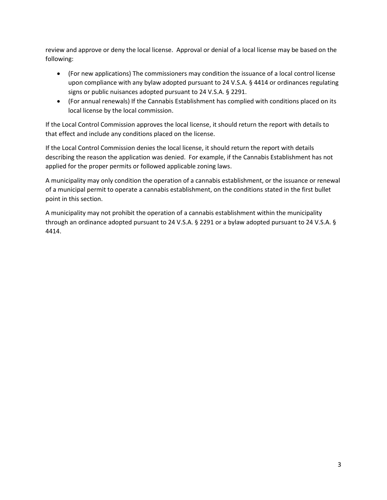review and approve or deny the local license. Approval or denial of a local license may be based on the following:

- (For new applications) The commissioners may condition the issuance of a local control license upon compliance with any bylaw adopted pursuant to 24 V.S.A. § 4414 or ordinances regulating signs or public nuisances adopted pursuant to 24 V.S.A. § 2291.
- (For annual renewals) If the Cannabis Establishment has complied with conditions placed on its local license by the local commission.

If the Local Control Commission approves the local license, it should return the report with details to that effect and include any conditions placed on the license.

If the Local Control Commission denies the local license, it should return the report with details describing the reason the application was denied. For example, if the Cannabis Establishment has not applied for the proper permits or followed applicable zoning laws.

A municipality may only condition the operation of a cannabis establishment, or the issuance or renewal of a municipal permit to operate a cannabis establishment, on the conditions stated in the first bullet point in this section.

A municipality may not prohibit the operation of a cannabis establishment within the municipality through an ordinance adopted pursuant to 24 V.S.A. § 2291 or a bylaw adopted pursuant to 24 V.S.A. § 4414.